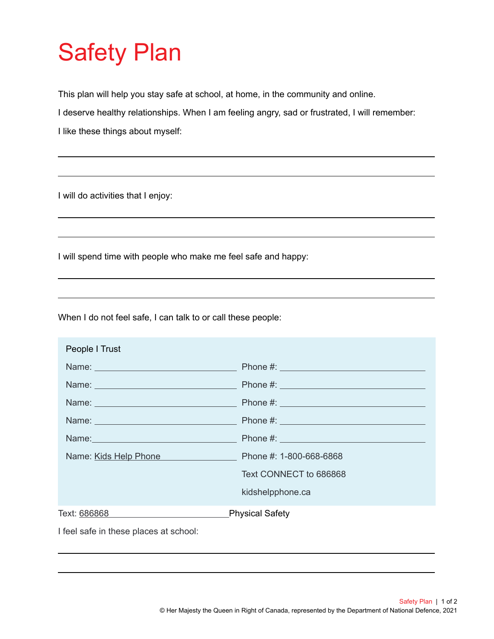## Safety Plan

This plan will help you stay safe at school, at home, in the community and online.

I deserve healthy relationships. When I am feeling angry, sad or frustrated, I will remember:

I like these things about myself:

I will do activities that I enjoy:

I will spend time with people who make me feel safe and happy:

When I do not feel safe, I can talk to or call these people:

| People I Trust                         |                         |
|----------------------------------------|-------------------------|
|                                        |                         |
|                                        |                         |
|                                        |                         |
|                                        |                         |
|                                        |                         |
| Name: Kids Help Phone                  | Phone #: 1-800-668-6868 |
|                                        | Text CONNECT to 686868  |
|                                        | kidshelpphone.ca        |
| Text: 686868                           | <b>Physical Safety</b>  |
| I feel safe in these places at school: |                         |